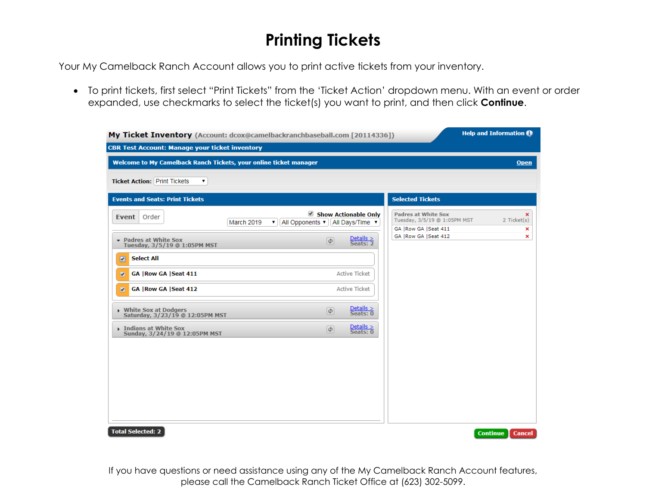# **Printing Tickets**

Your My Camelback Ranch Account allows you to print active tickets from your inventory.

• To print tickets, first select "Print Tickets" from the 'Ticket Action' dropdown menu. With an event or order expanded, use checkmarks to select the ticket(s) you want to print, and then click **Continue**.

| My Ticket Inventory (Account: dcox@camelbackranchbaseball.com [20114336]) |                           |                                          |                                                            | <b>Help and Information 1</b> |
|---------------------------------------------------------------------------|---------------------------|------------------------------------------|------------------------------------------------------------|-------------------------------|
| <b>CBR Test Account: Manage your ticket inventory</b>                     |                           |                                          |                                                            |                               |
| Welcome to My Camelback Ranch Tickets, your online ticket manager         |                           |                                          |                                                            | <b>Open</b>                   |
| <b>Ticket Action: Print Tickets</b><br>▼                                  |                           |                                          |                                                            |                               |
| <b>Events and Seats: Print Tickets</b>                                    |                           |                                          | <b>Selected Tickets</b>                                    |                               |
| Order<br>Event  <br><b>March 2019</b><br>All Opponents ▼<br>▼.            |                           | Show Actionable Only<br>All Days/Time v  | <b>Padres at White Sox</b><br>Tuesday, 3/5/19 @ 1:05PM MST | ×<br>2 Ticket(s)              |
| • Padres at White Sox                                                     | $\overline{\mathfrak{S}}$ | $\frac{\text{Details}}{\text{Seats: 2}}$ | GA   Row GA   Seat 411<br>GA   Row GA   Seat 412           | ×<br>×                        |
| Tuesday, 3/5/19 @ 1:05PM MST                                              |                           |                                          |                                                            |                               |
| <b>Select All</b><br>$\overline{r}$                                       |                           |                                          |                                                            |                               |
| <b>GA   Row GA   Seat 411</b><br>$\overline{\mathbf{z}}$                  |                           | <b>Active Ticket</b>                     |                                                            |                               |
| GA   Row GA   Seat 412<br>$\overline{a}$                                  |                           | <b>Active Ticket</b>                     |                                                            |                               |
| White Sox at Dodgers<br>Saturday, 3/23/19 @ 12:05PM MST                   | $\phi$                    | $Details >Seats: 0$                      |                                                            |                               |
| Indians at White Sox<br>Sunday, 3/24/19 @ 12:05PM MST                     | $\left( \phi \right)$     | $\frac{\text{Details}}{\text{Seats: 0}}$ |                                                            |                               |
|                                                                           |                           |                                          |                                                            |                               |
|                                                                           |                           |                                          |                                                            |                               |
|                                                                           |                           |                                          |                                                            |                               |
|                                                                           |                           |                                          |                                                            |                               |
|                                                                           |                           |                                          |                                                            |                               |
|                                                                           |                           |                                          |                                                            |                               |

If you have questions or need assistance using any of the My Camelback Ranch Account features, please call the Camelback Ranch Ticket Office at (623) 302-5099.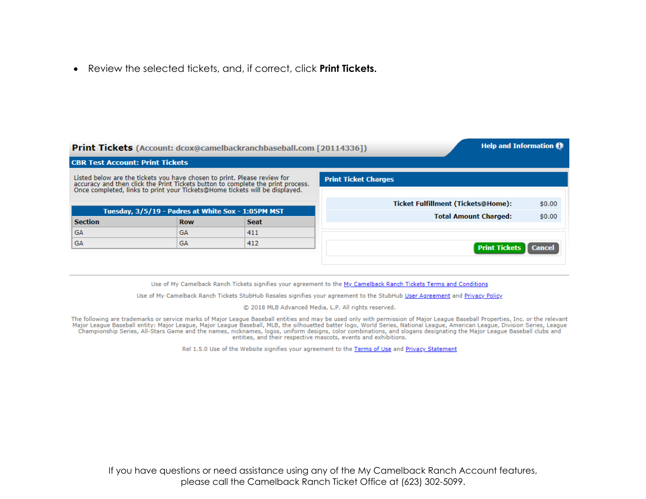• Review the selected tickets, and, if correct, click **Print Tickets.** 

|                                        |                                                    | <b>Print Tickets</b> (Account: dcox@camelbackranchbaseball.com [20114336])                                                                                                                                                           | <b>Help and Information @</b>             |               |
|----------------------------------------|----------------------------------------------------|--------------------------------------------------------------------------------------------------------------------------------------------------------------------------------------------------------------------------------------|-------------------------------------------|---------------|
| <b>CBR Test Account: Print Tickets</b> |                                                    |                                                                                                                                                                                                                                      |                                           |               |
|                                        |                                                    | Listed below are the tickets you have chosen to print. Please review for<br>accuracy and then click the Print Tickets button to complete the print process.<br>Once completed, links to print your Tickets@Home tickets will be disp | <b>Print Ticket Charges</b>               |               |
|                                        | Tuesday, 3/5/19 - Padres at White Sox - 1:05PM MST |                                                                                                                                                                                                                                      | <b>Ticket Fulfillment (Tickets@Home):</b> | \$0.00        |
| <b>Section</b>                         | <b>Row</b>                                         | <b>Seat</b>                                                                                                                                                                                                                          | <b>Total Amount Charged:</b>              | \$0.00        |
| GA                                     | GA                                                 | 411                                                                                                                                                                                                                                  |                                           |               |
| GA                                     | GA                                                 | 412                                                                                                                                                                                                                                  | <b>Print Tickets</b>                      | <b>Cancel</b> |
|                                        |                                                    |                                                                                                                                                                                                                                      |                                           |               |

Use of My Camelback Ranch Tickets signifies your agreement to the My Camelback Ranch Tickets Terms and Conditions

Use of My Camelback Ranch Tickets StubHub Resales signifies your agreement to the StubHub User Agreement and Privacy Policy

© 2018 MLB Advanced Media, L.P. All rights reserved.

The following are trademarks or service marks of Major League Baseball entities and may be used only with permission of Major League Baseball Properties, Inc. or the relevant<br>Major League Baseball entity: Major League, Maj Championship Series, All-Stars Game and the names, nicknames, logos, uniform designs, color combinations, and slogans designating the Major League Baseball clubs and entities, and their respective mascots, events and exhibitions.

Rel 1.5.0 Use of the Website signifies your agreement to the Terms of Use and Privacy Statement

If you have questions or need assistance using any of the My Camelback Ranch Account features, please call the Camelback Ranch Ticket Office at (623) 302-5099.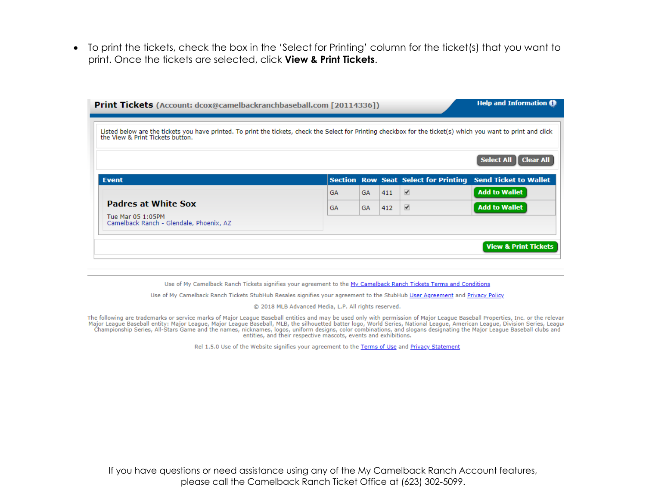• To print the tickets, check the box in the 'Select for Printing' column for the ticket(s) that you want to print. Once the tickets are selected, click **View & Print Tickets**.

| Listed below are the tickets you have printed. To print the tickets, check the Select for Printing checkbox for the ticket(s) which you want to print and click<br>the View & Print Tickets button. |           |           |     |                                             |                                       |
|-----------------------------------------------------------------------------------------------------------------------------------------------------------------------------------------------------|-----------|-----------|-----|---------------------------------------------|---------------------------------------|
|                                                                                                                                                                                                     |           |           |     |                                             | <b>Select All</b><br><b>Clear All</b> |
| <b>Event</b>                                                                                                                                                                                        |           |           |     | <b>Section Row Seat Select for Printing</b> | <b>Send Ticket to Wallet</b>          |
| <b>Padres at White Sox</b>                                                                                                                                                                          | <b>GA</b> | GA        | 411 | $\overline{\mathscr{L}}$                    | <b>Add to Wallet</b>                  |
|                                                                                                                                                                                                     | <b>GA</b> | <b>GA</b> | 412 | ✔                                           | <b>Add to Wallet</b>                  |
| Tue Mar 05 1:05PM<br>Camelback Ranch - Glendale, Phoenix, AZ                                                                                                                                        |           |           |     |                                             |                                       |

Use of My Camelback Ranch Tickets signifies your agreement to the My Camelback Ranch Tickets Terms and Conditions

Use of My Camelback Ranch Tickets StubHub Resales signifies your agreement to the StubHub User Agreement and Privacy Policy

© 2018 MLB Advanced Media, L.P. All rights reserved.

The following are trademarks or service marks of Major League Baseball entities and may be used only with permission of Major League Baseball Properties, Inc. or the relevan<br>Major League Baseball entity: Major League, Majo Championship Series, All-Stars Game and the names, nicknames, logos, uniform designs, color combinations, and slogans designating the Major League Baseball clubs and entities, and their respective mascots, events and exhibitions.

Rel 1.5.0 Use of the Website signifies your agreement to the Terms of Use and Privacy Statement

If you have questions or need assistance using any of the My Camelback Ranch Account features, please call the Camelback Ranch Ticket Office at (623) 302-5099.